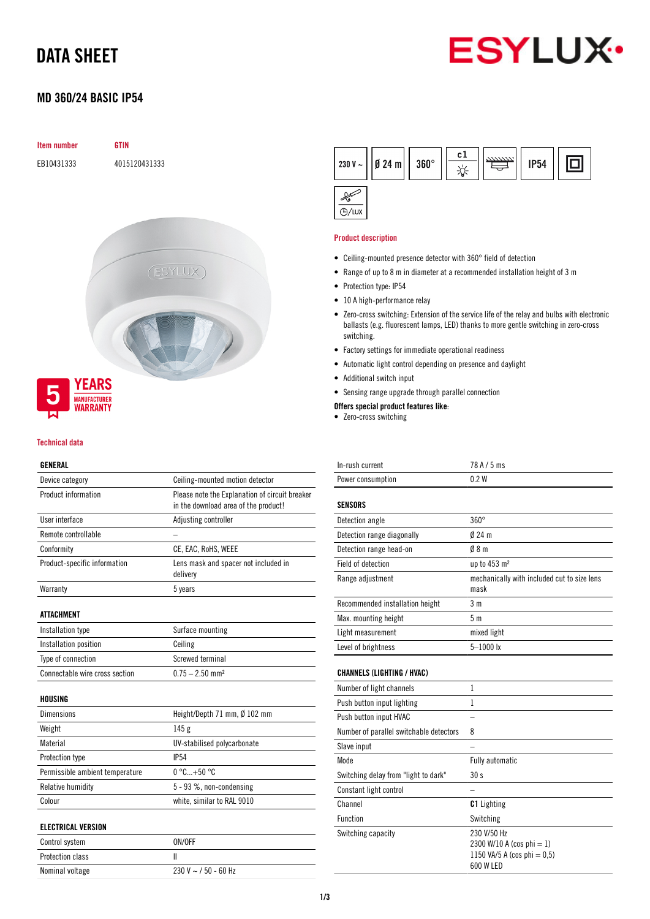# DATA SHEET



## MD 360/24 BASIC IP54

# Item number GTIN EB10431333 4015120431333 (ESYLUX) **YEARS MANUFACTURER**<br>**WARRANTY**

#### Technical data

#### GENERAL

| Device category                 | Ceiling-mounted motion detector                                                        |
|---------------------------------|----------------------------------------------------------------------------------------|
| Product information             | Please note the Explanation of circuit breaker<br>in the download area of the product! |
| User interface                  | Adjusting controller                                                                   |
| Remote controllable             |                                                                                        |
| Conformity                      | CE, EAC, RoHS, WEEE                                                                    |
| Product-specific information    | Lens mask and spacer not included in<br>delivery                                       |
| Warranty                        | 5 years                                                                                |
| <b>ATTACHMENT</b>               |                                                                                        |
| Installation type               | Surface mounting                                                                       |
| Installation position           | Ceiling                                                                                |
| Type of connection              | Screwed terminal                                                                       |
| Connectable wire cross section  | $0.75 - 2.50$ mm <sup>2</sup>                                                          |
| <b>HOUSING</b>                  |                                                                                        |
| Dimensions                      | Height/Depth 71 mm, Ø 102 mm                                                           |
| Weight                          | 145 <sub>g</sub>                                                                       |
| Material                        | UV-stabilised polycarbonate                                                            |
| Protection type                 | <b>IP54</b>                                                                            |
| Permissible ambient temperature | $0^{\circ}$ C+50 $^{\circ}$ C                                                          |
| Relative humidity               | 5 - 93 %, non-condensing                                                               |
| Colour                          | white, similar to RAL 9010                                                             |
| <b>ELECTRICAL VERSION</b>       |                                                                                        |
| Control system                  | ON/OFF                                                                                 |
| <b>Protection class</b>         | Ш                                                                                      |
| Nominal voltage                 | 230 V $\sim$ / 50 - 60 Hz                                                              |

| 230 V ~     Ø 24 m     360° | c ] | ,,,,,,,,, | <b>IP54</b> |  |
|-----------------------------|-----|-----------|-------------|--|
|                             |     |           |             |  |

#### Product description

 $\overline{\bigoplus / \text{LUX}}$ 

- Ceiling-mounted presence detector with 360° field of detection
- Range of up to 8 m in diameter at a recommended installation height of 3 m
- Protection type: IP54
- 10 A high-performance relay
- Zero-cross switching: Extension of the service life of the relay and bulbs with electronic ballasts (e.g. fluorescent lamps, LED) thanks to more gentle switching in zero-cross switching.
- Factory settings for immediate operational readiness
- Automatic light control depending on presence and daylight
- Additional switch input
- Sensing range upgrade through parallel connection

#### Offers special product features like:

• Zero-cross switching

| In-rush current   | $78$ A $/$ 5 ms |
|-------------------|-----------------|
| Power consumption | 0.2W            |

| <b>SENSORS</b>                  |                                                     |
|---------------------------------|-----------------------------------------------------|
| Detection angle                 | $360^\circ$                                         |
| Detection range diagonally      | $024$ m                                             |
| Detection range head-on         | 08 <sub>m</sub>                                     |
| Field of detection              | up to $453 \text{ m}^2$                             |
| Range adjustment                | mechanically with included cut to size lens<br>mask |
| Recommended installation height | 3 m                                                 |
| Max. mounting height            | 5m                                                  |
| Light measurement               | mixed light                                         |
| Level of brightness             | $5 - 1000$ lx                                       |

#### CHANNELS (LIGHTING / HVAC)

| Number of light channels                |                                                                                            |
|-----------------------------------------|--------------------------------------------------------------------------------------------|
| Push button input lighting              |                                                                                            |
| Push button input HVAC                  |                                                                                            |
| Number of parallel switchable detectors | 8                                                                                          |
| Slave input                             |                                                                                            |
| Mode                                    | <b>Fully automatic</b>                                                                     |
| Switching delay from "light to dark"    | 30 <sub>s</sub>                                                                            |
| Constant light control                  |                                                                                            |
| Channel                                 | <b>C1</b> Lighting                                                                         |
| Function                                | Switching                                                                                  |
| Switching capacity                      | 230 V/50 Hz<br>2300 W/10 A (cos phi $= 1$ )<br>1150 VA/5 A (cos phi = $0.5$ )<br>600 W LED |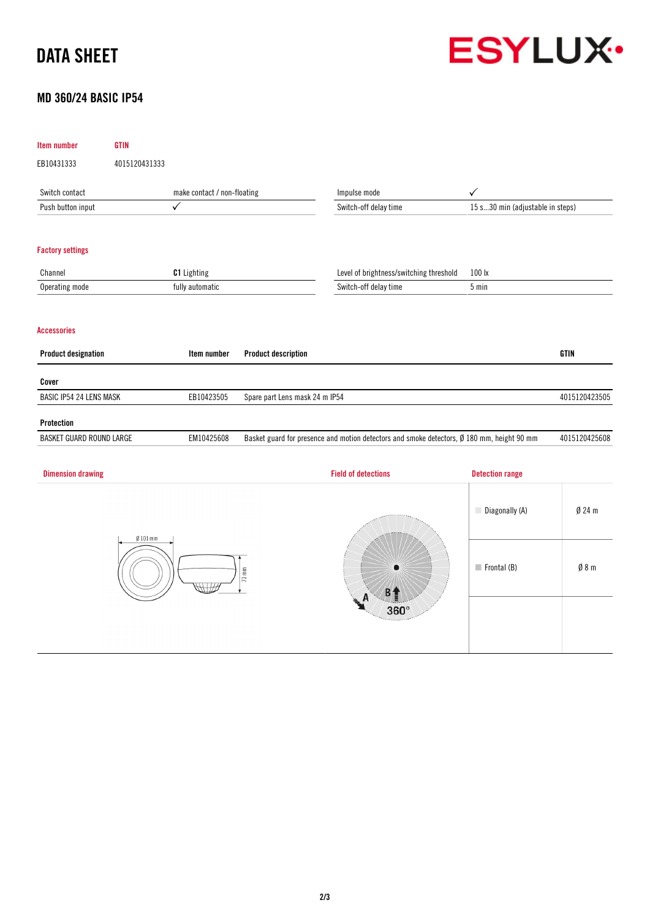# DATA SHEET



## MD 360/24 BASIC IP54

| Item number                    | <b>GTIN</b>   |                             |                                |                                                                                            |                                  |               |
|--------------------------------|---------------|-----------------------------|--------------------------------|--------------------------------------------------------------------------------------------|----------------------------------|---------------|
| EB10431333                     | 4015120431333 |                             |                                |                                                                                            |                                  |               |
| Switch contact                 |               | make contact / non-floating |                                | Impulse mode                                                                               | ✓                                |               |
| Push button input              |               | $\checkmark$                |                                | Switch-off delay time                                                                      | 15 s30 min (adjustable in steps) |               |
| <b>Factory settings</b>        |               |                             |                                |                                                                                            |                                  |               |
| Channel                        |               | C1 Lighting                 |                                | Level of brightness/switching threshold                                                    | 100 lx                           |               |
| Operating mode                 |               | fully automatic             |                                | Switch-off delay time                                                                      | 5 min                            |               |
| <b>Accessories</b>             |               |                             |                                |                                                                                            |                                  |               |
| <b>Product designation</b>     |               | Item number                 | <b>Product description</b>     |                                                                                            |                                  | <b>GTIN</b>   |
| Cover                          |               |                             |                                |                                                                                            |                                  |               |
| <b>BASIC IP54 24 LENS MASK</b> |               | EB10423505                  | Spare part Lens mask 24 m IP54 |                                                                                            |                                  | 4015120423505 |
| Protection                     |               |                             |                                |                                                                                            |                                  |               |
| BASKET GUARD ROUND LARGE       |               | EM10425608                  |                                | Basket guard for presence and motion detectors and smoke detectors, Ø 180 mm, height 90 mm |                                  | 4015120425608 |
| <b>Dimension drawing</b>       |               |                             |                                | <b>Field of detections</b>                                                                 | <b>Detection range</b>           |               |
|                                | $Ø101$ mm     |                             |                                |                                                                                            | Diagonally (A)                   | $Ø$ 24 m      |
| $73 \text{ mm}$                |               | B <sub>1</sub><br>A         | $\blacksquare$ Frontal (B)     | Ø 8 m                                                                                      |                                  |               |
|                                |               |                             | 360°                           |                                                                                            |                                  |               |